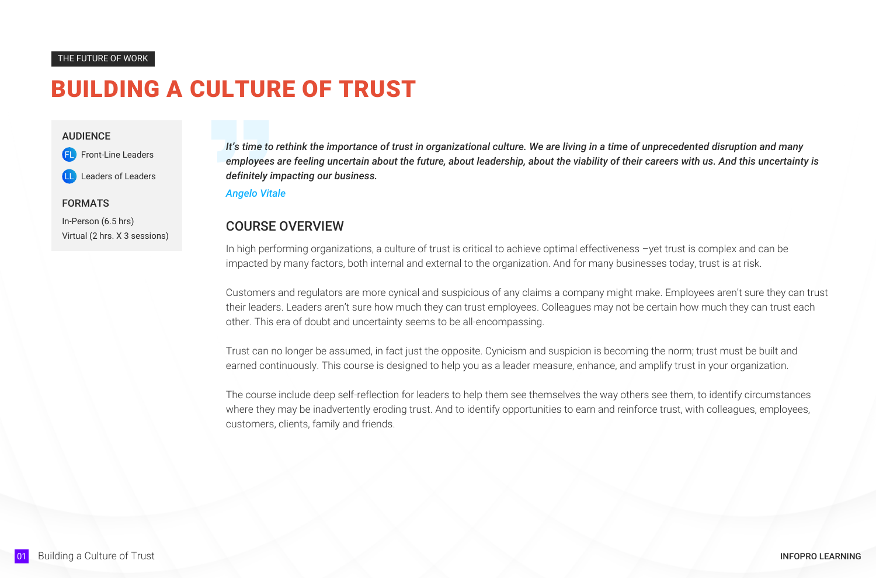*It's time to rethink the importance of trust in organizational culture. We are living in a time of unprecedented disruption and many employees are feeling uncertain about the future, about leadership, about the viability of their careers with us. And this uncertainty is definitely impacting our business.*

### *Angelo Vitale*

### THE FUTURE OF WORK

### AUDIENCE

FL Front-Line Leaders

Leaders of Leaders

### FORMATS

In-Person (6.5 hrs) Virtual (2 hrs. X 3 sessions)

### COURSE OVERVIEW

In high performing organizations, a culture of trust is critical to achieve optimal effectiveness –yet trust is complex and can be impacted by many factors, both internal and external to the organization. And for many businesses today, trust is at risk.

Customers and regulators are more cynical and suspicious of any claims a company might make. Employees aren't sure they can trust their leaders. Leaders aren't sure how much they can trust employees. Colleagues may not be certain how much they can trust each other. This era of doubt and uncertainty seems to be all-encompassing.

Trust can no longer be assumed, in fact just the opposite. Cynicism and suspicion is becoming the norm; trust must be built and earned continuously. This course is designed to help you as a leader measure, enhance, and amplify trust in your organization.

The course include deep self-reflection for leaders to help them see themselves the way others see them, to identify circumstances where they may be inadvertently eroding trust. And to identify opportunities to earn and reinforce trust, with colleagues, employees, customers, clients, family and friends.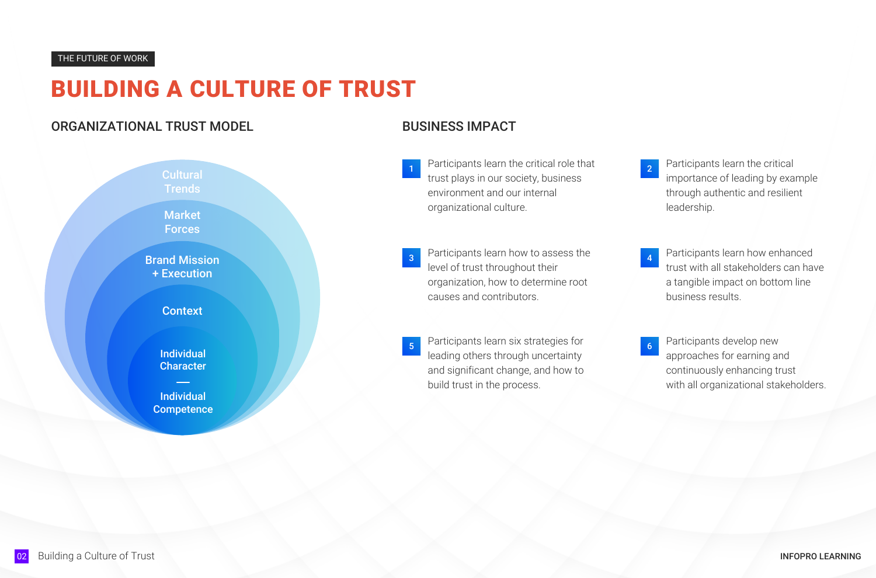## ORGANIZATIONAL TRUST MODEL

# BUSINESS IMPACT

importance of leading by example through authentic and resilient leadership.

- 1 Participants learn the critical role that 1 2 Participants learn the critical trust plays in our society, business environment and our internal organizational culture.
- **3** Participants learn how to assess the **19 Canadian Addam** Participants learn how enhanced level of trust throughout their organization, how to determine root causes and contributors.
- Participants learn six strategies for <sup>5</sup> Participants develop new leading others through uncertainty and significant change, and how to build trust in the process.



trust with all stakeholders can have a tangible impact on bottom line business results.

4

approaches for earning and continuously enhancing trust with all organizational stakeholders.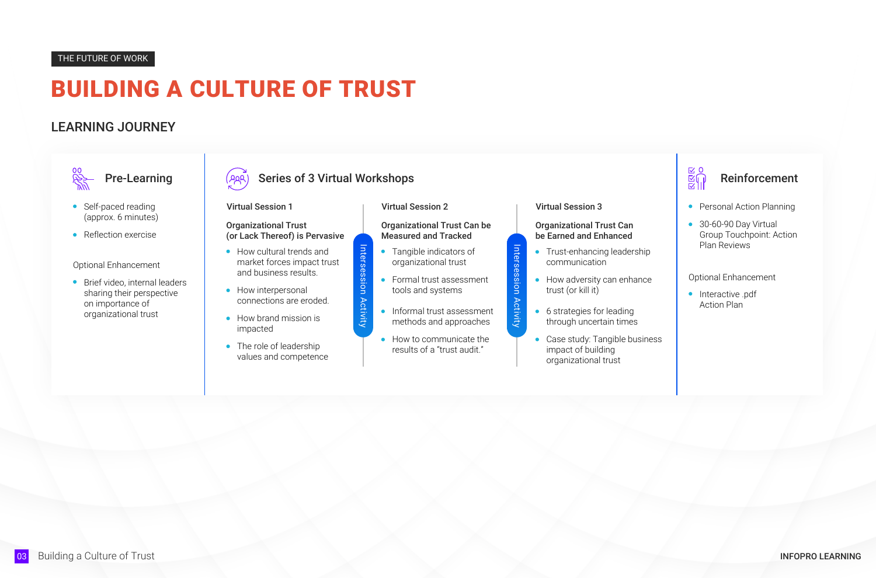# LEARNING JOURNEY

- Self-paced reading (approx. 6 minutes)
- Reflection exercise

- How cultural trends and market forces impact trust and business results.
- How interpersonal connections are eroded.
- How brand mission is impacted
- The role of leadership values and competence

**•** Brief video, internal leaders sharing their perspective on importance of organizational trust



### Pre-Learning  $\left( \rho_{\beta\beta} \right)$  Series of 3 Virtual Workshops

- Tangible indicators of organizational trust
- **•** Formal trust assessment tools and systems
- **•** Informal trust assessment methods and approaches
- How to communicate the results of a "trust audit."

Optional Enhancement



- **•** Trust-enhancing leadership communication
- How adversity can enhance trust (or kill it)
- 6 strategies for leading through uncertain times
- Case study: Tangible business impact of building organizational trust

### Organizational Trust (or Lack Thereof) is Pervasive

#### Virtual Session 1

#### Organizational Trust Can be Measured and Tracked

Virtual Session 2

### Organizational Trust Can be Earned and Enhanced

### Virtual Session 3

Intersession Activity

Activity

Intersession

Intersession Activity

Intersession Activity